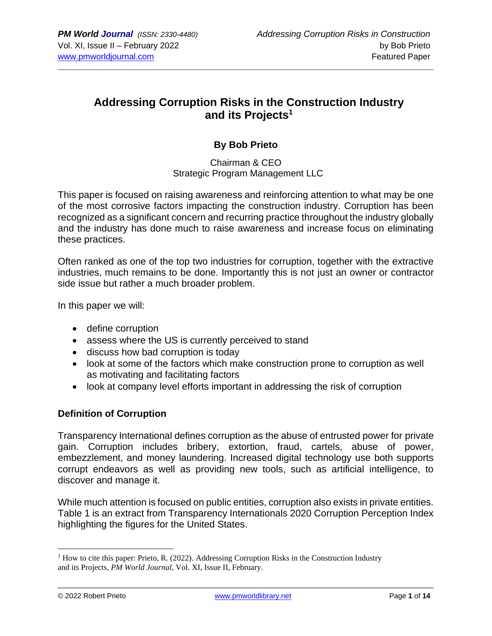## **Addressing Corruption Risks in the Construction Industry and its Projects<sup>1</sup>**

## **By Bob Prieto**

#### Chairman & CEO Strategic Program Management LLC

This paper is focused on raising awareness and reinforcing attention to what may be one of the most corrosive factors impacting the construction industry. Corruption has been recognized as a significant concern and recurring practice throughout the industry globally and the industry has done much to raise awareness and increase focus on eliminating these practices.

Often ranked as one of the top two industries for corruption, together with the extractive industries, much remains to be done. Importantly this is not just an owner or contractor side issue but rather a much broader problem.

In this paper we will:

- define corruption
- assess where the US is currently perceived to stand
- discuss how bad corruption is today
- look at some of the factors which make construction prone to corruption as well as motivating and facilitating factors
- look at company level efforts important in addressing the risk of corruption

#### **Definition of Corruption**

Transparency International defines corruption as the abuse of entrusted power for private gain. Corruption includes bribery, extortion, fraud, cartels, abuse of power, embezzlement, and money laundering. Increased digital technology use both supports corrupt endeavors as well as providing new tools, such as artificial intelligence, to discover and manage it.

While much attention is focused on public entities, corruption also exists in private entities. Table 1 is an extract from Transparency Internationals 2020 Corruption Perception Index highlighting the figures for the United States.

 $<sup>1</sup>$  How to cite this paper: Prieto, R. (2022). Addressing Corruption Risks in the Construction Industry</sup> and its Projects, *PM World Journal*, Vol. XI, Issue II, February.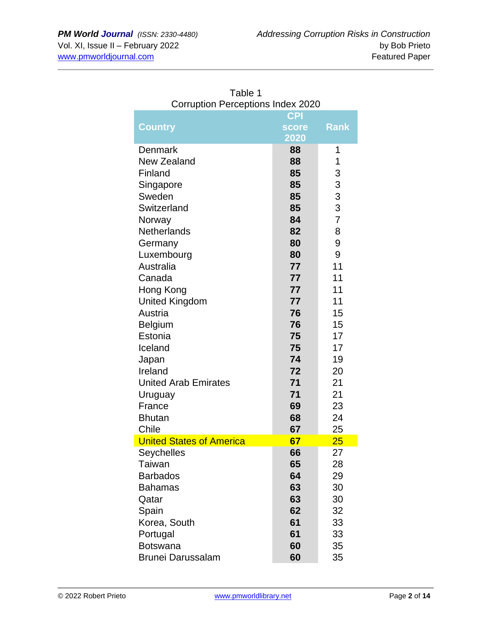| COTTUPHON PERCEPTIONS INGEX ZUZU  |          |                |  |
|-----------------------------------|----------|----------------|--|
| <b>CPI</b>                        |          |                |  |
| <b>Country</b>                    | score    | <b>Rank</b>    |  |
|                                   | 2020     |                |  |
| <b>Denmark</b>                    | 88       | 1              |  |
| New Zealand                       | 88       | 1              |  |
| Finland                           | 85       | 3              |  |
| Singapore                         | 85       | 3              |  |
| Sweden                            | 85       | 3              |  |
| Switzerland                       | 85       | 3              |  |
| Norway                            | 84       | $\overline{7}$ |  |
| <b>Netherlands</b>                | 82       | 8              |  |
| Germany                           | 80       | 9              |  |
| Luxembourg                        | 80       | 9              |  |
| Australia                         | 77       | 11             |  |
| Canada                            | 77       | 11             |  |
| Hong Kong                         | 77       | 11             |  |
| <b>United Kingdom</b>             | 77       | 11             |  |
| Austria                           | 76       | 15             |  |
| <b>Belgium</b>                    | 76       | 15             |  |
| Estonia                           | 75       | 17             |  |
| Iceland                           | 75       | 17             |  |
| Japan                             | 74       | 19             |  |
| Ireland                           | 72       | 20             |  |
| <b>United Arab Emirates</b>       | 71       | 21             |  |
| Uruguay                           | 71       | 21             |  |
| France                            | 69       | 23             |  |
| <b>Bhutan</b>                     | 68       | 24             |  |
| Chile                             | 67       | 25             |  |
| <b>United States of America</b>   | 67       | 25             |  |
| Seychelles                        | 66       | 27             |  |
| <b>Taiwan</b>                     | 65       | 28             |  |
| <b>Barbados</b><br><b>Bahamas</b> | 64<br>63 | 29<br>30       |  |
| Qatar                             | 63       | 30             |  |
|                                   | 62       | 32             |  |
| Spain<br>Korea, South             | 61       | 33             |  |
| Portugal                          | 61       | 33             |  |
| <b>Botswana</b>                   | 60       | 35             |  |
|                                   |          |                |  |
| <b>Brunei Darussalam</b>          | 60       | 35             |  |

Table 1 Corruption Perceptions Index 2020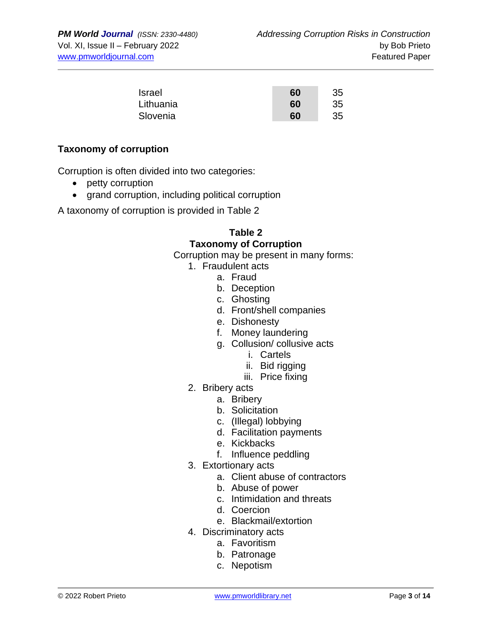| Israel    | 60 | 35 |
|-----------|----|----|
| Lithuania | 60 | 35 |
| Slovenia  | 60 | 35 |

#### **Taxonomy of corruption**

Corruption is often divided into two categories:

- petty corruption
- grand corruption, including political corruption

A taxonomy of corruption is provided in Table 2

## **Table 2 Taxonomy of Corruption**

Corruption may be present in many forms:

- 1. Fraudulent acts
	- a. Fraud
	- b. Deception
	- c. Ghosting
	- d. Front/shell companies
	- e. Dishonesty
	- f. Money laundering
	- g. Collusion/ collusive acts
		- i. Cartels
		- ii. Bid rigging
		- iii. Price fixing
- 2. Bribery acts
	- a. Bribery
	- b. Solicitation
	- c. (Illegal) lobbying
	- d. Facilitation payments
	- e. Kickbacks
	- f. Influence peddling
- 3. Extortionary acts
	- a. Client abuse of contractors
	- b. Abuse of power
	- c. Intimidation and threats
	- d. Coercion
	- e. Blackmail/extortion
- 4. Discriminatory acts
	- a. Favoritism
	- b. Patronage
	- c. Nepotism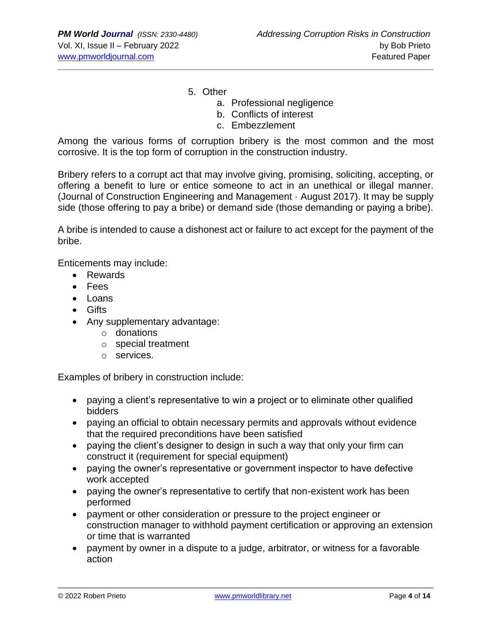5. Other

- a. Professional negligence
- b. Conflicts of interest
- c. Embezzlement

Among the various forms of corruption bribery is the most common and the most corrosive. It is the top form of corruption in the construction industry.

Bribery refers to a corrupt act that may involve giving, promising, soliciting, accepting, or offering a benefit to lure or entice someone to act in an unethical or illegal manner. (Journal of Construction Engineering and Management · August 2017). It may be supply side (those offering to pay a bribe) or demand side (those demanding or paying a bribe).

A bribe is intended to cause a dishonest act or failure to act except for the payment of the bribe.

Enticements may include:

- Rewards
- Fees
- Loans
- Gifts
- Any supplementary advantage:
	- o donations
	- o special treatment
	- o services.

Examples of bribery in construction include:

- paying a client's representative to win a project or to eliminate other qualified bidders
- paying an official to obtain necessary permits and approvals without evidence that the required preconditions have been satisfied
- paying the client's designer to design in such a way that only your firm can construct it (requirement for special equipment)
- paying the owner's representative or government inspector to have defective work accepted
- paying the owner's representative to certify that non-existent work has been performed
- payment or other consideration or pressure to the project engineer or construction manager to withhold payment certification or approving an extension or time that is warranted
- payment by owner in a dispute to a judge, arbitrator, or witness for a favorable action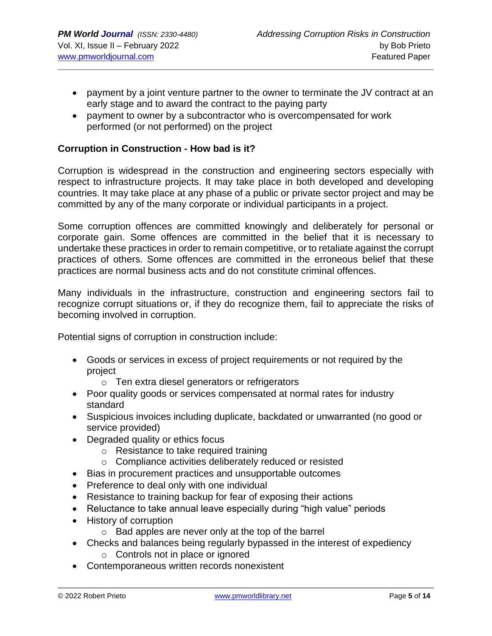- payment by a joint venture partner to the owner to terminate the JV contract at an early stage and to award the contract to the paying party
- payment to owner by a subcontractor who is overcompensated for work performed (or not performed) on the project

#### **Corruption in Construction - How bad is it?**

Corruption is widespread in the construction and engineering sectors especially with respect to infrastructure projects. It may take place in both developed and developing countries. It may take place at any phase of a public or private sector project and may be committed by any of the many corporate or individual participants in a project.

Some corruption offences are committed knowingly and deliberately for personal or corporate gain. Some offences are committed in the belief that it is necessary to undertake these practices in order to remain competitive, or to retaliate against the corrupt practices of others. Some offences are committed in the erroneous belief that these practices are normal business acts and do not constitute criminal offences.

Many individuals in the infrastructure, construction and engineering sectors fail to recognize corrupt situations or, if they do recognize them, fail to appreciate the risks of becoming involved in corruption.

Potential signs of corruption in construction include:

- Goods or services in excess of project requirements or not required by the project
	- o Ten extra diesel generators or refrigerators
- Poor quality goods or services compensated at normal rates for industry standard
- Suspicious invoices including duplicate, backdated or unwarranted (no good or service provided)
- Degraded quality or ethics focus
	- o Resistance to take required training
	- o Compliance activities deliberately reduced or resisted
- Bias in procurement practices and unsupportable outcomes
- Preference to deal only with one individual
- Resistance to training backup for fear of exposing their actions
- Reluctance to take annual leave especially during "high value" periods
- History of corruption
	- o Bad apples are never only at the top of the barrel
- Checks and balances being regularly bypassed in the interest of expediency o Controls not in place or ignored
- Contemporaneous written records nonexistent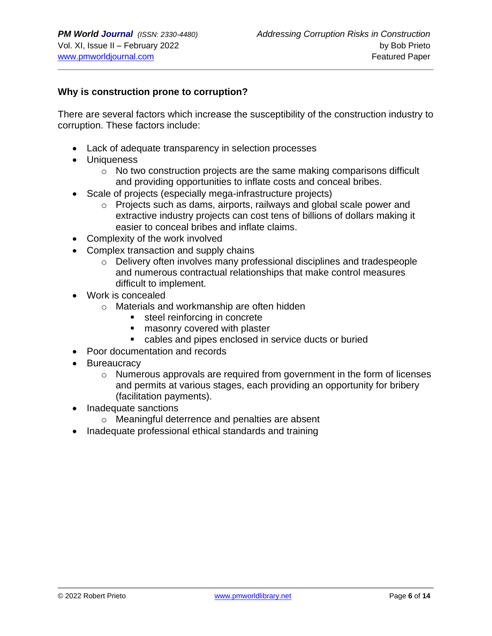#### **Why is construction prone to corruption?**

There are several factors which increase the susceptibility of the construction industry to corruption. These factors include:

- Lack of adequate transparency in selection processes
- Uniqueness
	- $\circ$  No two construction projects are the same making comparisons difficult and providing opportunities to inflate costs and conceal bribes.
- Scale of projects (especially mega-infrastructure projects)
	- $\circ$  Projects such as dams, airports, railways and global scale power and extractive industry projects can cost tens of billions of dollars making it easier to conceal bribes and inflate claims.
- Complexity of the work involved
- Complex transaction and supply chains
	- o Delivery often involves many professional disciplines and tradespeople and numerous contractual relationships that make control measures difficult to implement.
- Work is concealed
	- o Materials and workmanship are often hidden
		- steel reinforcing in concrete
		- masonry covered with plaster
		- cables and pipes enclosed in service ducts or buried
- Poor documentation and records
- Bureaucracy
	- $\circ$  Numerous approvals are required from government in the form of licenses and permits at various stages, each providing an opportunity for bribery (facilitation payments).
- Inadequate sanctions
	- o Meaningful deterrence and penalties are absent
- Inadequate professional ethical standards and training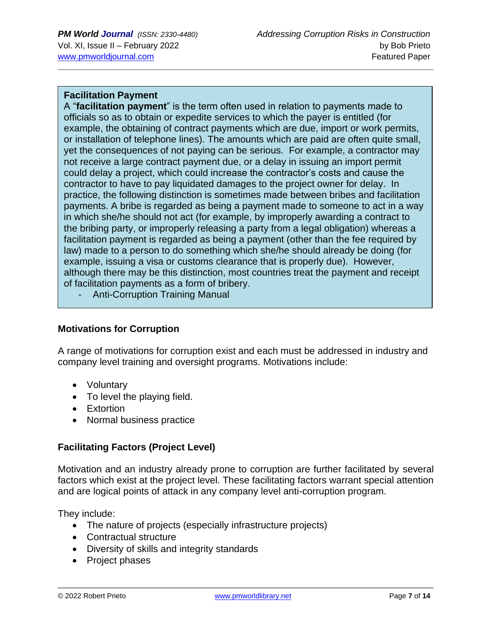## **Facilitation Payment**

A "**facilitation payment**" is the term often used in relation to payments made to officials so as to obtain or expedite services to which the payer is entitled (for example, the obtaining of contract payments which are due, import or work permits, or installation of telephone lines). The amounts which are paid are often quite small, yet the consequences of not paying can be serious. For example, a contractor may not receive a large contract payment due, or a delay in issuing an import permit could delay a project, which could increase the contractor's costs and cause the contractor to have to pay liquidated damages to the project owner for delay. In practice, the following distinction is sometimes made between bribes and facilitation payments. A bribe is regarded as being a payment made to someone to act in a way in which she/he should not act (for example, by improperly awarding a contract to the bribing party, or improperly releasing a party from a legal obligation) whereas a facilitation payment is regarded as being a payment (other than the fee required by law) made to a person to do something which she/he should already be doing (for example, issuing a visa or customs clearance that is properly due). However, although there may be this distinction, most countries treat the payment and receipt of facilitation payments as a form of bribery.

- Anti-Corruption Training Manual

## **Motivations for Corruption**

A range of motivations for corruption exist and each must be addressed in industry and company level training and oversight programs. Motivations include:

- Voluntary
- To level the playing field.
- Extortion
- Normal business practice

## **Facilitating Factors (Project Level)**

Motivation and an industry already prone to corruption are further facilitated by several factors which exist at the project level. These facilitating factors warrant special attention and are logical points of attack in any company level anti-corruption program.

They include:

- The nature of projects (especially infrastructure projects)
- Contractual structure
- Diversity of skills and integrity standards
- Project phases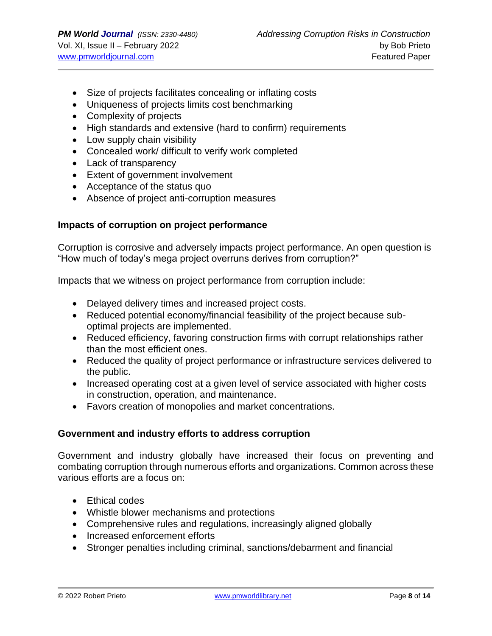- Size of projects facilitates concealing or inflating costs
- Uniqueness of projects limits cost benchmarking
- Complexity of projects
- High standards and extensive (hard to confirm) requirements
- Low supply chain visibility
- Concealed work/ difficult to verify work completed
- Lack of transparency
- Extent of government involvement
- Acceptance of the status quo
- Absence of project anti-corruption measures

## **Impacts of corruption on project performance**

Corruption is corrosive and adversely impacts project performance. An open question is "How much of today's mega project overruns derives from corruption?"

Impacts that we witness on project performance from corruption include:

- Delayed delivery times and increased project costs.
- Reduced potential economy/financial feasibility of the project because suboptimal projects are implemented.
- Reduced efficiency, favoring construction firms with corrupt relationships rather than the most efficient ones.
- Reduced the quality of project performance or infrastructure services delivered to the public.
- Increased operating cost at a given level of service associated with higher costs in construction, operation, and maintenance.
- Favors creation of monopolies and market concentrations.

## **Government and industry efforts to address corruption**

Government and industry globally have increased their focus on preventing and combating corruption through numerous efforts and organizations. Common across these various efforts are a focus on:

- Ethical codes
- Whistle blower mechanisms and protections
- Comprehensive rules and regulations, increasingly aligned globally
- Increased enforcement efforts
- Stronger penalties including criminal, sanctions/debarment and financial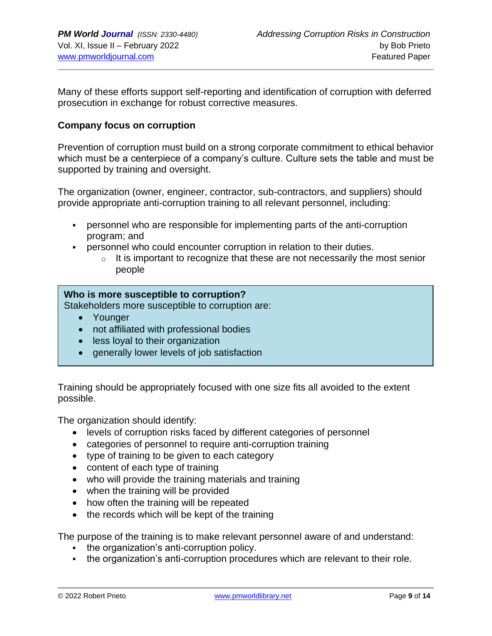Many of these efforts support self-reporting and identification of corruption with deferred prosecution in exchange for robust corrective measures.

#### **Company focus on corruption**

Prevention of corruption must build on a strong corporate commitment to ethical behavior which must be a centerpiece of a company's culture. Culture sets the table and must be supported by training and oversight.

The organization (owner, engineer, contractor, sub-contractors, and suppliers) should provide appropriate anti-corruption training to all relevant personnel, including:

- **•** personnel who are responsible for implementing parts of the anti-corruption program; and
- personnel who could encounter corruption in relation to their duties.
	- $\circ$  It is important to recognize that these are not necessarily the most senior people

#### **Who is more susceptible to corruption?**

Stakeholders more susceptible to corruption are:

- Younger
- not affiliated with professional bodies
- less loyal to their organization
- generally lower levels of job satisfaction

Training should be appropriately focused with one size fits all avoided to the extent possible.

The organization should identify:

- levels of corruption risks faced by different categories of personnel
- categories of personnel to require anti-corruption training
- type of training to be given to each category
- content of each type of training
- who will provide the training materials and training
- when the training will be provided
- how often the training will be repeated
- the records which will be kept of the training

The purpose of the training is to make relevant personnel aware of and understand:

- the organization's anti-corruption policy.
- **•** the organization's anti-corruption procedures which are relevant to their role.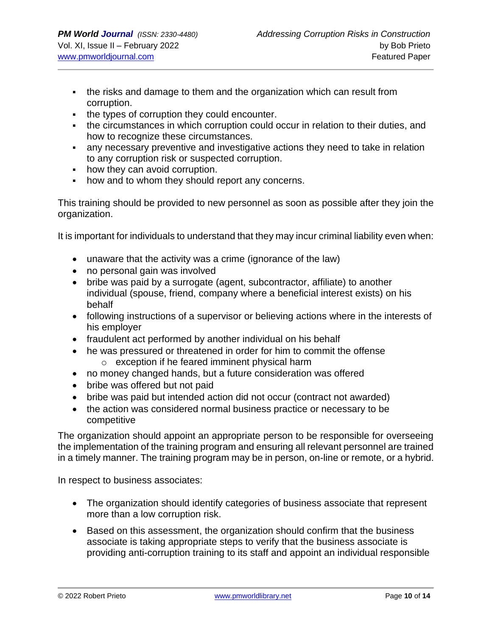- the risks and damage to them and the organization which can result from corruption.
- the types of corruption they could encounter.
- the circumstances in which corruption could occur in relation to their duties, and how to recognize these circumstances.
- **EXT** any necessary preventive and investigative actions they need to take in relation to any corruption risk or suspected corruption.
- how they can avoid corruption.
- how and to whom they should report any concerns.

This training should be provided to new personnel as soon as possible after they join the organization.

It is important for individuals to understand that they may incur criminal liability even when:

- unaware that the activity was a crime (ignorance of the law)
- no personal gain was involved
- bribe was paid by a surrogate (agent, subcontractor, affiliate) to another individual (spouse, friend, company where a beneficial interest exists) on his behalf
- following instructions of a supervisor or believing actions where in the interests of his employer
- fraudulent act performed by another individual on his behalf
- he was pressured or threatened in order for him to commit the offense o exception if he feared imminent physical harm
- no money changed hands, but a future consideration was offered
- bribe was offered but not paid
- bribe was paid but intended action did not occur (contract not awarded)
- the action was considered normal business practice or necessary to be competitive

The organization should appoint an appropriate person to be responsible for overseeing the implementation of the training program and ensuring all relevant personnel are trained in a timely manner. The training program may be in person, on-line or remote, or a hybrid.

In respect to business associates:

- The organization should identify categories of business associate that represent more than a low corruption risk.
- Based on this assessment, the organization should confirm that the business associate is taking appropriate steps to verify that the business associate is providing anti-corruption training to its staff and appoint an individual responsible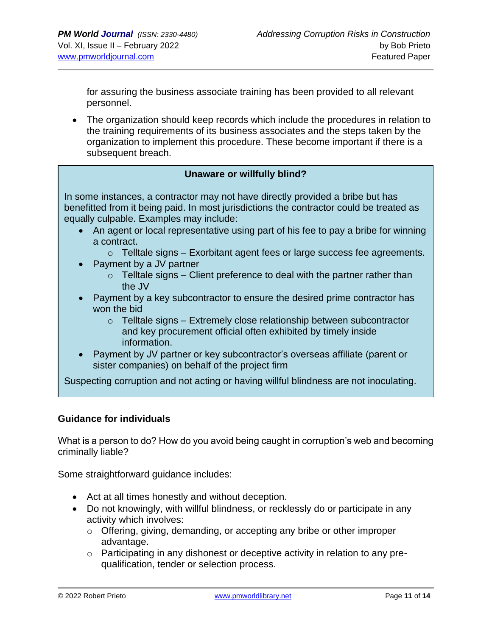for assuring the business associate training has been provided to all relevant personnel.

• The organization should keep records which include the procedures in relation to the training requirements of its business associates and the steps taken by the organization to implement this procedure. These become important if there is a subsequent breach.

#### **Unaware or willfully blind?**

In some instances, a contractor may not have directly provided a bribe but has benefitted from it being paid. In most jurisdictions the contractor could be treated as equally culpable. Examples may include:

- An agent or local representative using part of his fee to pay a bribe for winning a contract.
	- $\circ$  Telltale signs Exorbitant agent fees or large success fee agreements.
- Payment by a JV partner
	- $\circ$  Telltale signs Client preference to deal with the partner rather than the JV
- Payment by a key subcontractor to ensure the desired prime contractor has won the bid
	- $\circ$  Telltale signs Extremely close relationship between subcontractor and key procurement official often exhibited by timely inside information.
- Payment by JV partner or key subcontractor's overseas affiliate (parent or sister companies) on behalf of the project firm

Suspecting corruption and not acting or having willful blindness are not inoculating.

## **Guidance for individuals**

What is a person to do? How do you avoid being caught in corruption's web and becoming criminally liable?

Some straightforward guidance includes:

- Act at all times honestly and without deception.
- Do not knowingly, with willful blindness, or recklessly do or participate in any activity which involves:
	- o Offering, giving, demanding, or accepting any bribe or other improper advantage.
	- o Participating in any dishonest or deceptive activity in relation to any prequalification, tender or selection process.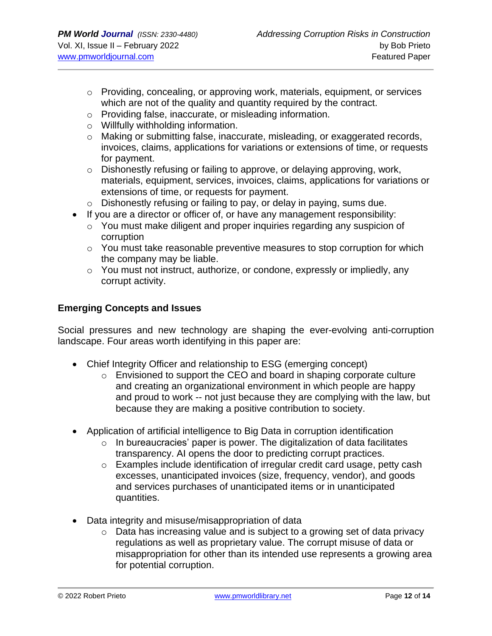- o Providing, concealing, or approving work, materials, equipment, or services which are not of the quality and quantity required by the contract.
- o Providing false, inaccurate, or misleading information.
- o Willfully withholding information.
- o Making or submitting false, inaccurate, misleading, or exaggerated records, invoices, claims, applications for variations or extensions of time, or requests for payment.
- $\circ$  Dishonestly refusing or failing to approve, or delaying approving, work, materials, equipment, services, invoices, claims, applications for variations or extensions of time, or requests for payment.
- o Dishonestly refusing or failing to pay, or delay in paying, sums due.
- If you are a director or officer of, or have any management responsibility:
	- o You must make diligent and proper inquiries regarding any suspicion of corruption
	- o You must take reasonable preventive measures to stop corruption for which the company may be liable.
	- o You must not instruct, authorize, or condone, expressly or impliedly, any corrupt activity.

## **Emerging Concepts and Issues**

Social pressures and new technology are shaping the ever-evolving anti-corruption landscape. Four areas worth identifying in this paper are:

- Chief Integrity Officer and relationship to ESG (emerging concept)
	- o Envisioned to support the CEO and board in shaping corporate culture and creating an organizational environment in which people are happy and proud to work -- not just because they are complying with the law, but because they are making a positive contribution to society.
- Application of artificial intelligence to Big Data in corruption identification
	- $\circ$  In bureaucracies' paper is power. The digitalization of data facilitates transparency. AI opens the door to predicting corrupt practices.
	- o Examples include identification of irregular credit card usage, petty cash excesses, unanticipated invoices (size, frequency, vendor), and goods and services purchases of unanticipated items or in unanticipated quantities.
- Data integrity and misuse/misappropriation of data
	- $\circ$  Data has increasing value and is subject to a growing set of data privacy regulations as well as proprietary value. The corrupt misuse of data or misappropriation for other than its intended use represents a growing area for potential corruption.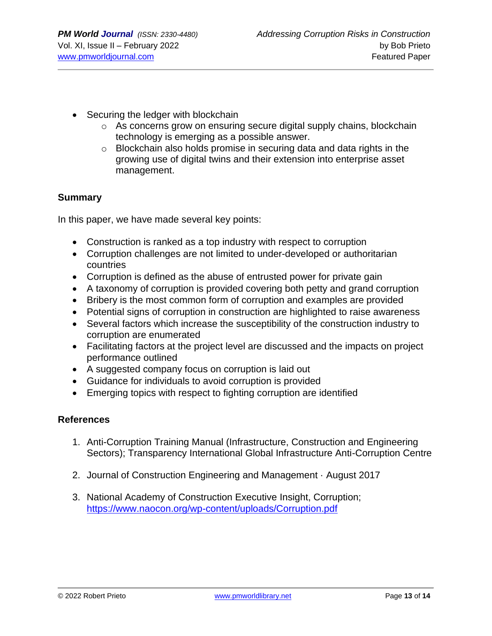- Securing the ledger with blockchain
	- $\circ$  As concerns grow on ensuring secure digital supply chains, blockchain technology is emerging as a possible answer.
	- o Blockchain also holds promise in securing data and data rights in the growing use of digital twins and their extension into enterprise asset management.

## **Summary**

In this paper, we have made several key points:

- Construction is ranked as a top industry with respect to corruption
- Corruption challenges are not limited to under-developed or authoritarian countries
- Corruption is defined as the abuse of entrusted power for private gain
- A taxonomy of corruption is provided covering both petty and grand corruption
- Bribery is the most common form of corruption and examples are provided
- Potential signs of corruption in construction are highlighted to raise awareness
- Several factors which increase the susceptibility of the construction industry to corruption are enumerated
- Facilitating factors at the project level are discussed and the impacts on project performance outlined
- A suggested company focus on corruption is laid out
- Guidance for individuals to avoid corruption is provided
- Emerging topics with respect to fighting corruption are identified

## **References**

- 1. Anti-Corruption Training Manual (Infrastructure, Construction and Engineering Sectors); Transparency International Global Infrastructure Anti-Corruption Centre
- 2. Journal of Construction Engineering and Management · August 2017
- 3. National Academy of Construction Executive Insight, Corruption; <https://www.naocon.org/wp-content/uploads/Corruption.pdf>